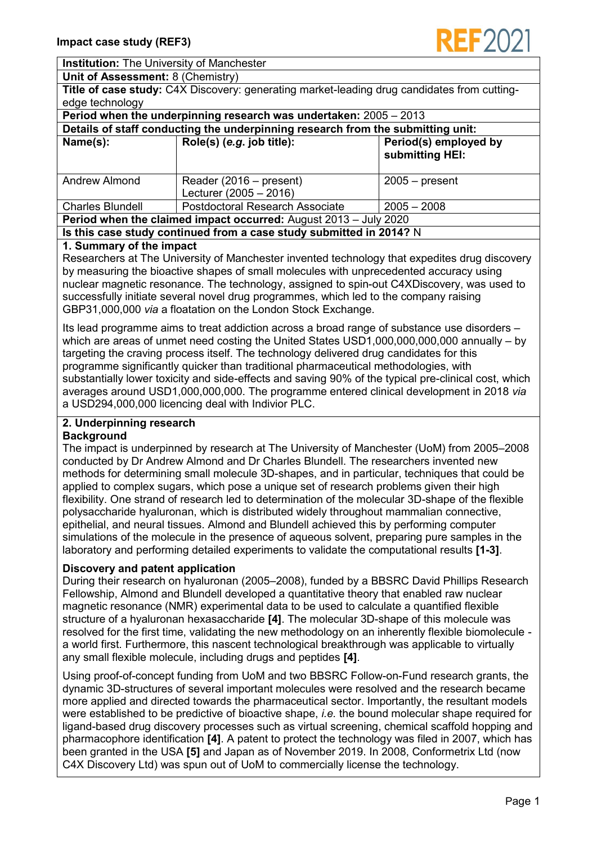

**Institution:** The University of Manchester

**Unit of Assessment:** 8 (Chemistry)

**Title of case study:** C4X Discovery: generating market-leading drug candidates from cuttingedge technology

| Period when the underpinning research was undertaken: 2005 - 2013               |                                                     |                                          |
|---------------------------------------------------------------------------------|-----------------------------------------------------|------------------------------------------|
| Details of staff conducting the underpinning research from the submitting unit: |                                                     |                                          |
| Name(s):                                                                        | Role(s) (e.g. job title):                           | Period(s) employed by<br>submitting HEI: |
| Andrew Almond                                                                   | Reader (2016 – present)<br>Lecturer $(2005 - 2016)$ | $2005 - present$                         |
| <b>Charles Blundell</b>                                                         | <b>Postdoctoral Research Associate</b>              | $2005 - 2008$                            |
| <b>Period when the claimed impact occurred:</b> August 2013 – July 2020         |                                                     |                                          |
|                                                                                 |                                                     |                                          |

**Is this case study continued from a case study submitted in 2014?** N

# **1. Summary of the impact**

Researchers at The University of Manchester invented technology that expedites drug discovery by measuring the bioactive shapes of small molecules with unprecedented accuracy using nuclear magnetic resonance. The technology, assigned to spin-out C4XDiscovery, was used to successfully initiate several novel drug programmes, which led to the company raising GBP31,000,000 *via* a floatation on the London Stock Exchange.

Its lead programme aims to treat addiction across a broad range of substance use disorders – which are areas of unmet need costing the United States USD1,000,000,000,000 annually – by targeting the craving process itself. The technology delivered drug candidates for this programme significantly quicker than traditional pharmaceutical methodologies, with substantially lower toxicity and side-effects and saving 90% of the typical pre-clinical cost, which averages around USD1,000,000,000. The programme entered clinical development in 2018 *via* a USD294,000,000 licencing deal with Indivior PLC.

# **2. Underpinning research**

## **Background**

The impact is underpinned by research at The University of Manchester (UoM) from 2005–2008 conducted by Dr Andrew Almond and Dr Charles Blundell. The researchers invented new methods for determining small molecule 3D-shapes, and in particular, techniques that could be applied to complex sugars, which pose a unique set of research problems given their high flexibility. One strand of research led to determination of the molecular 3D-shape of the flexible polysaccharide hyaluronan, which is distributed widely throughout mammalian connective, epithelial, and neural tissues. Almond and Blundell achieved this by performing computer simulations of the molecule in the presence of aqueous solvent, preparing pure samples in the laboratory and performing detailed experiments to validate the computational results **[1-3]**.

# **Discovery and patent application**

During their research on hyaluronan (2005–2008), funded by a BBSRC David Phillips Research Fellowship, Almond and Blundell developed a quantitative theory that enabled raw nuclear magnetic resonance (NMR) experimental data to be used to calculate a quantified flexible structure of a hyaluronan hexasaccharide **[4]**. The molecular 3D-shape of this molecule was resolved for the first time, validating the new methodology on an inherently flexible biomolecule a world first. Furthermore, this nascent technological breakthrough was applicable to virtually any small flexible molecule, including drugs and peptides **[4]**.

Using proof-of-concept funding from UoM and two BBSRC Follow-on-Fund research grants, the dynamic 3D-structures of several important molecules were resolved and the research became more applied and directed towards the pharmaceutical sector. Importantly, the resultant models were established to be predictive of bioactive shape, *i.e.* the bound molecular shape required for ligand-based drug discovery processes such as virtual screening, chemical scaffold hopping and pharmacophore identification **[4]**. A patent to protect the technology was filed in 2007, which has been granted in the USA **[5]** and Japan as of November 2019. In 2008, Conformetrix Ltd (now C4X Discovery Ltd) was spun out of UoM to commercially license the technology.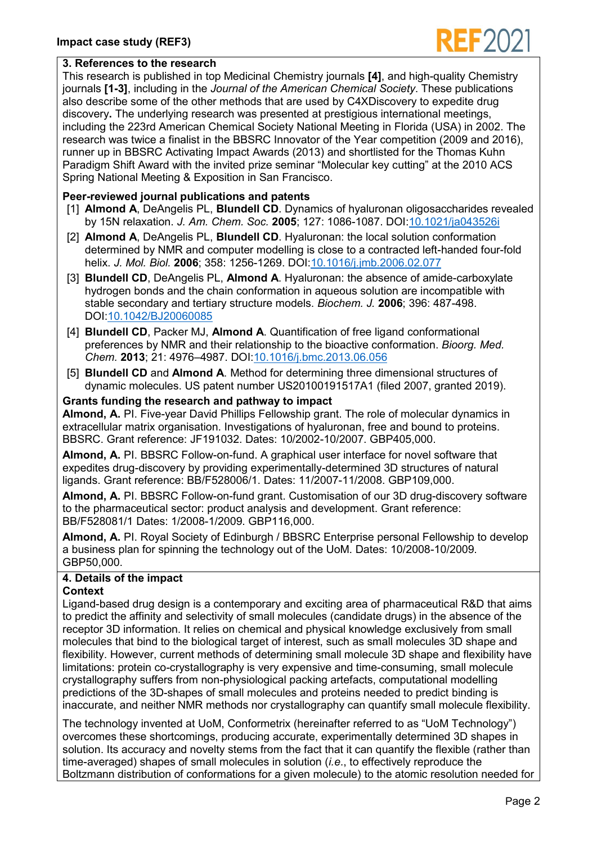

## **3. References to the research**

This research is published in top Medicinal Chemistry journals **[4]**, and high-quality Chemistry journals **[1-3]**, including in the *Journal of the American Chemical Society*. These publications also describe some of the other methods that are used by C4XDiscovery to expedite drug discovery**.** The underlying research was presented at prestigious international meetings, including the 223rd American Chemical Society National Meeting in Florida (USA) in 2002. The research was twice a finalist in the BBSRC Innovator of the Year competition (2009 and 2016), runner up in BBSRC Activating Impact Awards (2013) and shortlisted for the Thomas Kuhn Paradigm Shift Award with the invited prize seminar "Molecular key cutting" at the 2010 ACS Spring National Meeting & Exposition in San Francisco.

# **Peer-reviewed journal publications and patents**

- [1] **Almond A**, DeAngelis PL, **Blundell CD**. Dynamics of hyaluronan oligosaccharides revealed by 15N relaxation. *J. Am. Chem. Soc.* **2005**; 127: 1086-1087. DOI[:10.1021/ja043526i](https://doi.org/10.1021/ja043526i)
- [2] **Almond A**, DeAngelis PL, **Blundell CD**. Hyaluronan: the local solution conformation determined by NMR and computer modelling is close to a contracted left-handed four-fold helix. *J. Mol. Biol.* **2006**; 358: 1256-1269. DOI[:10.1016/j.jmb.2006.02.077](https://doi.org/10.1016/j.jmb.2006.02.077)
- [3] **Blundell CD**, DeAngelis PL, **Almond A**. Hyaluronan: the absence of amide-carboxylate hydrogen bonds and the chain conformation in aqueous solution are incompatible with stable secondary and tertiary structure models. *Biochem. J.* **2006**; 396: 487-498. DOI[:10.1042/BJ20060085](https://doi.org/10.1042/BJ20060085)
- [4] **Blundell CD**, Packer MJ, **Almond A**. Quantification of free ligand conformational preferences by NMR and their relationship to the bioactive conformation. *Bioorg. Med. Chem.* **2013**; 21: 4976–4987. DOI[:10.1016/j.bmc.2013.06.056](https://doi.org/10.1016/j.bmc.2013.06.056)
- [5] **Blundell CD** and **Almond A**. Method for determining three dimensional structures of dynamic molecules. US patent number US20100191517A1 (filed 2007, granted 2019).

#### **Grants funding the research and pathway to impact**

**Almond, A.** PI. Five-year David Phillips Fellowship grant. The role of molecular dynamics in extracellular matrix organisation. Investigations of hyaluronan, free and bound to proteins. BBSRC. Grant reference: JF191032. Dates: 10/2002-10/2007. GBP405,000.

**Almond, A.** PI. BBSRC Follow-on-fund. A graphical user interface for novel software that expedites drug-discovery by providing experimentally-determined 3D structures of natural ligands. Grant reference: BB/F528006/1. Dates: 11/2007-11/2008. GBP109,000.

**Almond, A.** PI. BBSRC Follow-on-fund grant. Customisation of our 3D drug-discovery software to the pharmaceutical sector: product analysis and development. Grant reference: BB/F528081/1 Dates: 1/2008-1/2009. GBP116,000.

**Almond, A.** PI. Royal Society of Edinburgh / BBSRC Enterprise personal Fellowship to develop a business plan for spinning the technology out of the UoM. Dates: 10/2008-10/2009. GBP50,000.

# **4. Details of the impact**

## **Context**

Ligand-based drug design is a contemporary and exciting area of pharmaceutical R&D that aims to predict the affinity and selectivity of small molecules (candidate drugs) in the absence of the receptor 3D information. It relies on chemical and physical knowledge exclusively from small molecules that bind to the biological target of interest, such as small molecules 3D shape and flexibility. However, current methods of determining small molecule 3D shape and flexibility have limitations: protein co-crystallography is very expensive and time-consuming, small molecule crystallography suffers from non-physiological packing artefacts, computational modelling predictions of the 3D-shapes of small molecules and proteins needed to predict binding is inaccurate, and neither NMR methods nor crystallography can quantify small molecule flexibility.

The technology invented at UoM, Conformetrix (hereinafter referred to as "UoM Technology") overcomes these shortcomings, producing accurate, experimentally determined 3D shapes in solution. Its accuracy and novelty stems from the fact that it can quantify the flexible (rather than time-averaged) shapes of small molecules in solution (*i.e*., to effectively reproduce the Boltzmann distribution of conformations for a given molecule) to the atomic resolution needed for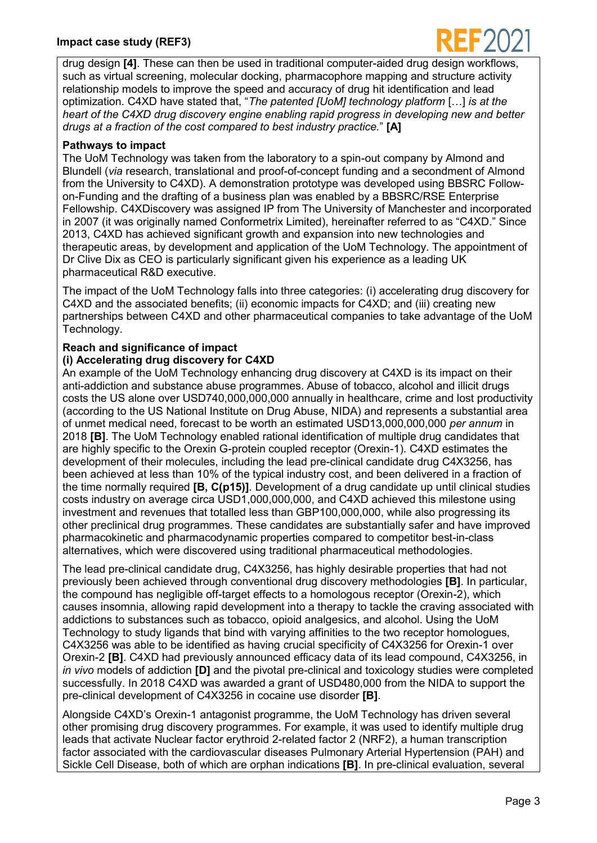## **Impact case study (REF3)**



drug design **[4]**. These can then be used in traditional computer-aided drug design workflows, such as virtual screening, molecular docking, pharmacophore mapping and structure activity relationship models to improve the speed and accuracy of drug hit identification and lead optimization. C4XD have stated that, "*The patented [UoM] technology platform* […] *is at the heart of the C4XD drug discovery engine enabling rapid progress in developing new and better drugs at a fraction of the cost compared to best industry practice.*" **[A]**

## **Pathways to impact**

The UoM Technology was taken from the laboratory to a spin-out company by Almond and Blundell (*via* research, translational and proof-of-concept funding and a secondment of Almond from the University to C4XD). A demonstration prototype was developed using BBSRC Followon-Funding and the drafting of a business plan was enabled by a BBSRC/RSE Enterprise Fellowship. C4XDiscovery was assigned IP from The University of Manchester and incorporated in 2007 (it was originally named Conformetrix Limited), hereinafter referred to as "C4XD." Since 2013, C4XD has achieved significant growth and expansion into new technologies and therapeutic areas, by development and application of the UoM Technology. The appointment of Dr Clive Dix as CEO is particularly significant given his experience as a leading UK pharmaceutical R&D executive.

The impact of the UoM Technology falls into three categories: (i) accelerating drug discovery for C4XD and the associated benefits; (ii) economic impacts for C4XD; and (iii) creating new partnerships between C4XD and other pharmaceutical companies to take advantage of the UoM Technology.

# **Reach and significance of impact**

## **(i) Accelerating drug discovery for C4XD**

An example of the UoM Technology enhancing drug discovery at C4XD is its impact on their anti-addiction and substance abuse programmes. Abuse of tobacco, alcohol and illicit drugs costs the US alone over USD740,000,000,000 annually in healthcare, crime and lost productivity (according to the US National Institute on Drug Abuse, NIDA) and represents a substantial area of unmet medical need, forecast to be worth an estimated USD13,000,000,000 *per annum* in 2018 **[B]**. The UoM Technology enabled rational identification of multiple drug candidates that are highly specific to the Orexin G-protein coupled receptor (Orexin-1). C4XD estimates the development of their molecules, including the lead pre-clinical candidate drug C4X3256, has been achieved at less than 10% of the typical industry cost, and been delivered in a fraction of the time normally required **[B, C(p15)]**. Development of a drug candidate up until clinical studies costs industry on average circa USD1,000,000,000, and C4XD achieved this milestone using investment and revenues that totalled less than GBP100,000,000, while also progressing its other preclinical drug programmes. These candidates are substantially safer and have improved pharmacokinetic and pharmacodynamic properties compared to competitor best-in-class alternatives, which were discovered using traditional pharmaceutical methodologies.

The lead pre-clinical candidate drug, C4X3256, has highly desirable properties that had not previously been achieved through conventional drug discovery methodologies **[B]**. In particular, the compound has negligible off-target effects to a homologous receptor (Orexin-2), which causes insomnia, allowing rapid development into a therapy to tackle the craving associated with addictions to substances such as tobacco, opioid analgesics, and alcohol. Using the UoM Technology to study ligands that bind with varying affinities to the two receptor homologues, C4X3256 was able to be identified as having crucial specificity of C4X3256 for Orexin-1 over Orexin-2 **[B]**. C4XD had previously announced efficacy data of its lead compound, C4X3256, in *in vivo* models of addiction **[D]** and the pivotal pre-clinical and toxicology studies were completed successfully. In 2018 C4XD was awarded a grant of USD480,000 from the NIDA to support the pre-clinical development of C4X3256 in cocaine use disorder **[B]**.

Alongside C4XD's Orexin-1 antagonist programme, the UoM Technology has driven several other promising drug discovery programmes. For example, it was used to identify multiple drug leads that activate Nuclear factor erythroid 2-related factor 2 (NRF2), a human transcription factor associated with the cardiovascular diseases Pulmonary Arterial Hypertension (PAH) and Sickle Cell Disease, both of which are orphan indications **[B]**. In pre-clinical evaluation, several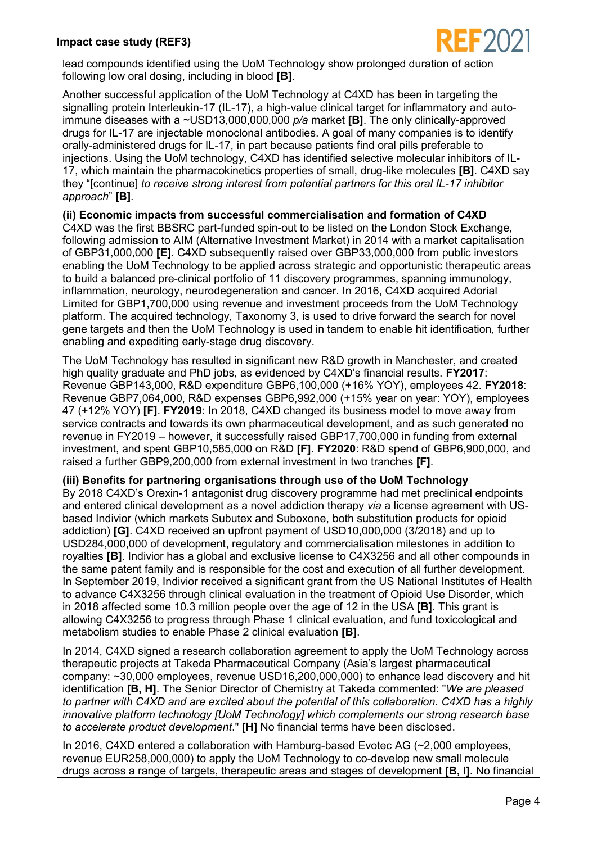

lead compounds identified using the UoM Technology show prolonged duration of action following low oral dosing, including in blood **[B]**.

Another successful application of the UoM Technology at C4XD has been in targeting the signalling protein Interleukin-17 (IL-17), a high-value clinical target for inflammatory and autoimmune diseases with a ~USD13,000,000,000 *p/a* market **[B]**. The only clinically-approved drugs for IL-17 are injectable monoclonal antibodies. A goal of many companies is to identify orally-administered drugs for IL-17, in part because patients find oral pills preferable to injections. Using the UoM technology, C4XD has identified selective molecular inhibitors of IL-17, which maintain the pharmacokinetics properties of small, drug-like molecules **[B]**. C4XD say they "[continue] *to receive strong interest from potential partners for this oral IL-17 inhibitor approach*" **[B]**.

**(ii) Economic impacts from successful commercialisation and formation of C4XD** C4XD was the first BBSRC part-funded spin-out to be listed on the London Stock Exchange, following admission to AIM (Alternative Investment Market) in 2014 with a market capitalisation of GBP31,000,000 **[E]**. C4XD subsequently raised over GBP33,000,000 from public investors enabling the UoM Technology to be applied across strategic and opportunistic therapeutic areas to build a balanced pre-clinical portfolio of 11 discovery programmes, spanning immunology, inflammation, neurology, neurodegeneration and cancer. In 2016, C4XD acquired Adorial Limited for GBP1,700,000 using revenue and investment proceeds from the UoM Technology platform. The acquired technology, Taxonomy 3, is used to drive forward the search for novel gene targets and then the UoM Technology is used in tandem to enable hit identification, further enabling and expediting early-stage drug discovery.

The UoM Technology has resulted in significant new R&D growth in Manchester, and created high quality graduate and PhD jobs, as evidenced by C4XD's financial results. **FY2017**: Revenue GBP143,000, R&D expenditure GBP6,100,000 (+16% YOY), employees 42. **FY2018**: Revenue GBP7,064,000, R&D expenses GBP6,992,000 (+15% year on year: YOY), employees 47 (+12% YOY) **[F]**. **FY2019**: In 2018, C4XD changed its business model to move away from service contracts and towards its own pharmaceutical development, and as such generated no revenue in FY2019 – however, it successfully raised GBP17,700,000 in funding from external investment, and spent GBP10,585,000 on R&D **[F]**. **FY2020**: R&D spend of GBP6,900,000, and raised a further GBP9,200,000 from external investment in two tranches **[F]**.

**(iii) Benefits for partnering organisations through use of the UoM Technology** By 2018 C4XD's Orexin-1 antagonist drug discovery programme had met preclinical endpoints and entered clinical development as a novel addiction therapy *via* a license agreement with USbased Indivior (which markets Subutex and Suboxone, both substitution products for opioid addiction) **[G]**. C4XD received an upfront payment of USD10,000,000 (3/2018) and up to USD284,000,000 of development, regulatory and commercialisation milestones in addition to royalties **[B]**. Indivior has a global and exclusive license to C4X3256 and all other compounds in the same patent family and is responsible for the cost and execution of all further development. In September 2019, Indivior received a significant grant from the US National Institutes of Health to advance C4X3256 through clinical evaluation in the treatment of Opioid Use Disorder, which in 2018 affected some 10.3 million people over the age of 12 in the USA **[B]**. This grant is allowing C4X3256 to progress through Phase 1 clinical evaluation, and fund toxicological and metabolism studies to enable Phase 2 clinical evaluation **[B]**.

In 2014, C4XD signed a research collaboration agreement to apply the UoM Technology across therapeutic projects at Takeda Pharmaceutical Company (Asia's largest pharmaceutical company: ~30,000 employees, revenue USD16,200,000,000) to enhance lead discovery and hit identification **[B, H]**. The Senior Director of Chemistry at Takeda commented: "*We are pleased to partner with C4XD and are excited about the potential of this collaboration. C4XD has a highly innovative platform technology [UoM Technology] which complements our strong research base to accelerate product development*." **[H]** No financial terms have been disclosed.

In 2016, C4XD entered a collaboration with Hamburg-based Evotec AG (~2,000 employees, revenue EUR258,000,000) to apply the UoM Technology to co-develop new small molecule drugs across a range of targets, therapeutic areas and stages of development **[B, I]**. No financial